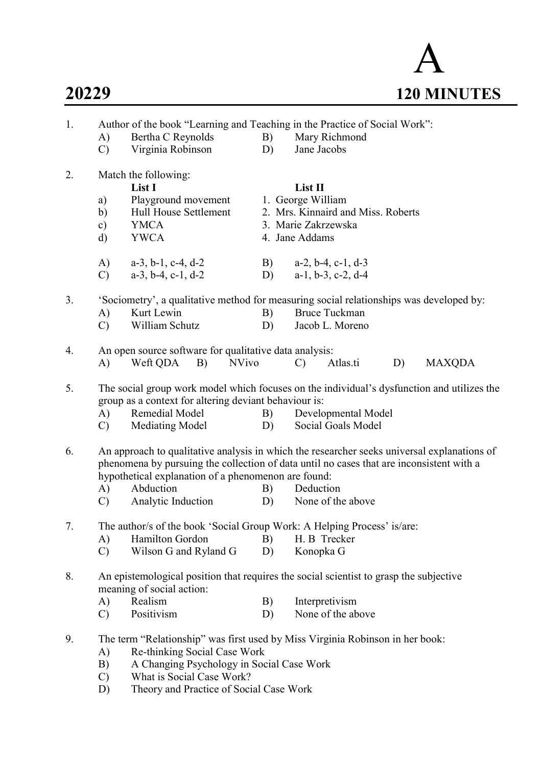# A 20229 120 MINUTES

| 1. | Author of the book "Learning and Teaching in the Practice of Social Work":                                                                                                              |                                                                                                                     |    |                                                                                         |  |  |  |  |
|----|-----------------------------------------------------------------------------------------------------------------------------------------------------------------------------------------|---------------------------------------------------------------------------------------------------------------------|----|-----------------------------------------------------------------------------------------|--|--|--|--|
|    | A)                                                                                                                                                                                      | Bertha C Reynolds                                                                                                   | B) | Mary Richmond                                                                           |  |  |  |  |
|    | $\mathcal{C}$                                                                                                                                                                           | Virginia Robinson                                                                                                   | D) | Jane Jacobs                                                                             |  |  |  |  |
| 2. |                                                                                                                                                                                         | Match the following:                                                                                                |    |                                                                                         |  |  |  |  |
|    |                                                                                                                                                                                         | List I                                                                                                              |    | List II                                                                                 |  |  |  |  |
|    | a)                                                                                                                                                                                      | Playground movement                                                                                                 |    | 1. George William                                                                       |  |  |  |  |
|    | b)                                                                                                                                                                                      | Hull House Settlement                                                                                               |    | 2. Mrs. Kinnaird and Miss. Roberts                                                      |  |  |  |  |
|    | $\mathbf{c})$                                                                                                                                                                           | <b>YMCA</b>                                                                                                         |    | 3. Marie Zakrzewska                                                                     |  |  |  |  |
|    | d)                                                                                                                                                                                      | <b>YWCA</b>                                                                                                         |    | 4. Jane Addams                                                                          |  |  |  |  |
|    | A)                                                                                                                                                                                      | $a-3$ , $b-1$ , $c-4$ , $d-2$                                                                                       | B) | $a-2$ , $b-4$ , $c-1$ , $d-3$                                                           |  |  |  |  |
|    | $\mathcal{C}$                                                                                                                                                                           | $a-3$ , $b-4$ , $c-1$ , $d-2$                                                                                       | D) | $a-1$ , $b-3$ , $c-2$ , $d-4$                                                           |  |  |  |  |
| 3. |                                                                                                                                                                                         |                                                                                                                     |    | 'Sociometry', a qualitative method for measuring social relationships was developed by: |  |  |  |  |
|    | A)                                                                                                                                                                                      | Kurt Lewin                                                                                                          | B) | <b>Bruce Tuckman</b>                                                                    |  |  |  |  |
|    | $\mathcal{C}$                                                                                                                                                                           | William Schutz                                                                                                      | D) | Jacob L. Moreno                                                                         |  |  |  |  |
| 4. |                                                                                                                                                                                         | An open source software for qualitative data analysis:                                                              |    |                                                                                         |  |  |  |  |
|    | A)                                                                                                                                                                                      | <b>NVivo</b><br>Weft QDA<br>B)                                                                                      |    | Atlas.ti<br><b>MAXQDA</b><br>$\mathcal{C}$<br>D)                                        |  |  |  |  |
| 5. | The social group work model which focuses on the individual's dysfunction and utilizes the                                                                                              |                                                                                                                     |    |                                                                                         |  |  |  |  |
|    |                                                                                                                                                                                         | group as a context for altering deviant behaviour is:                                                               |    |                                                                                         |  |  |  |  |
|    | A)                                                                                                                                                                                      | Remedial Model                                                                                                      | B) | Developmental Model                                                                     |  |  |  |  |
|    | $\mathcal{C}$                                                                                                                                                                           | Mediating Model                                                                                                     | D) | Social Goals Model                                                                      |  |  |  |  |
| 6. | An approach to qualitative analysis in which the researcher seeks universal explanations of<br>phenomena by pursuing the collection of data until no cases that are inconsistent with a |                                                                                                                     |    |                                                                                         |  |  |  |  |
|    |                                                                                                                                                                                         | hypothetical explanation of a phenomenon are found:                                                                 |    |                                                                                         |  |  |  |  |
|    | A)                                                                                                                                                                                      | Abduction                                                                                                           | B) | Deduction                                                                               |  |  |  |  |
|    | $\mathcal{C}$                                                                                                                                                                           | Analytic Induction                                                                                                  | D) | None of the above                                                                       |  |  |  |  |
| 7. | The author/s of the book 'Social Group Work: A Helping Process' is/are:                                                                                                                 |                                                                                                                     |    |                                                                                         |  |  |  |  |
|    | A)                                                                                                                                                                                      | Hamilton Gordon                                                                                                     | B) | H. B Trecker                                                                            |  |  |  |  |
|    | $\mathcal{C}$                                                                                                                                                                           | Wilson G and Ryland G                                                                                               | D) | Konopka G                                                                               |  |  |  |  |
| 8. |                                                                                                                                                                                         | An epistemological position that requires the social scientist to grasp the subjective<br>meaning of social action: |    |                                                                                         |  |  |  |  |
|    | A)                                                                                                                                                                                      | Realism                                                                                                             | B) | Interpretivism                                                                          |  |  |  |  |
|    | $\mathcal{C}$                                                                                                                                                                           | Positivism                                                                                                          | D) | None of the above                                                                       |  |  |  |  |
| 9. |                                                                                                                                                                                         |                                                                                                                     |    | The term "Relationship" was first used by Miss Virginia Robinson in her book:           |  |  |  |  |
|    | A)                                                                                                                                                                                      | Re-thinking Social Case Work                                                                                        |    |                                                                                         |  |  |  |  |
|    | B)                                                                                                                                                                                      | A Changing Psychology in Social Case Work                                                                           |    |                                                                                         |  |  |  |  |
|    | $\mathcal{C}$                                                                                                                                                                           | What is Social Case Work?                                                                                           |    |                                                                                         |  |  |  |  |
|    | D)                                                                                                                                                                                      | Theory and Practice of Social Case Work                                                                             |    |                                                                                         |  |  |  |  |
|    |                                                                                                                                                                                         |                                                                                                                     |    |                                                                                         |  |  |  |  |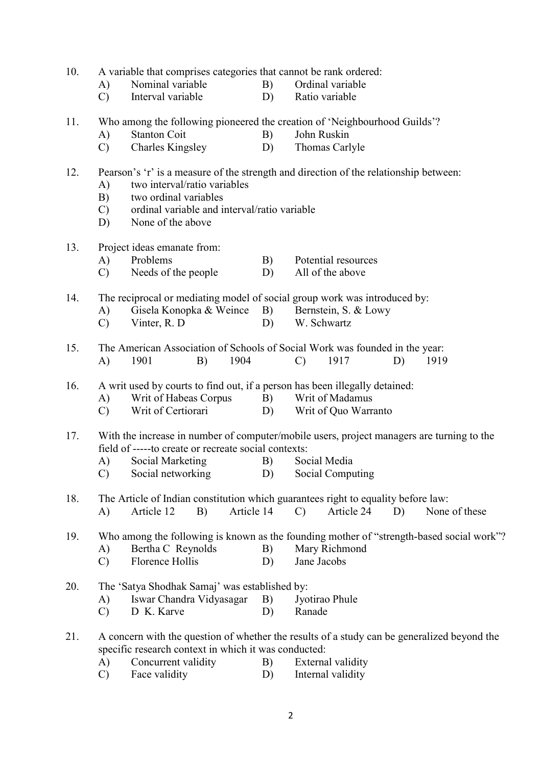| 10. | A variable that comprises categories that cannot be rank ordered:                         |                                                                             |    |                                                                                             |  |  |  |  |
|-----|-------------------------------------------------------------------------------------------|-----------------------------------------------------------------------------|----|---------------------------------------------------------------------------------------------|--|--|--|--|
|     | A)                                                                                        | Nominal variable                                                            | B) | Ordinal variable                                                                            |  |  |  |  |
|     | $\mathcal{C}$                                                                             | Interval variable                                                           | D) | Ratio variable                                                                              |  |  |  |  |
| 11. |                                                                                           |                                                                             |    | Who among the following pioneered the creation of 'Neighbourhood Guilds'?                   |  |  |  |  |
|     | A)                                                                                        | <b>Stanton Coit</b>                                                         | B) | John Ruskin                                                                                 |  |  |  |  |
|     | $\mathcal{C}$                                                                             | <b>Charles Kingsley</b>                                                     | D) | Thomas Carlyle                                                                              |  |  |  |  |
| 12. | Pearson's 'r' is a measure of the strength and direction of the relationship between:     |                                                                             |    |                                                                                             |  |  |  |  |
|     | A)                                                                                        | two interval/ratio variables                                                |    |                                                                                             |  |  |  |  |
|     | B)                                                                                        | two ordinal variables                                                       |    |                                                                                             |  |  |  |  |
|     | $\mathbf{C}$                                                                              | ordinal variable and interval/ratio variable                                |    |                                                                                             |  |  |  |  |
|     | D)                                                                                        | None of the above                                                           |    |                                                                                             |  |  |  |  |
| 13. |                                                                                           | Project ideas emanate from:                                                 |    |                                                                                             |  |  |  |  |
|     | A)                                                                                        | Problems                                                                    | B) | Potential resources                                                                         |  |  |  |  |
|     | $\mathcal{C}$                                                                             | Needs of the people                                                         | D) | All of the above                                                                            |  |  |  |  |
| 14. |                                                                                           |                                                                             |    | The reciprocal or mediating model of social group work was introduced by:                   |  |  |  |  |
|     | A)                                                                                        | Gisela Konopka & Weince                                                     | B) | Bernstein, S. & Lowy                                                                        |  |  |  |  |
|     | $\mathcal{C}$                                                                             | Vinter, R. D                                                                | D) | W. Schwartz                                                                                 |  |  |  |  |
| 15. |                                                                                           |                                                                             |    | The American Association of Schools of Social Work was founded in the year:                 |  |  |  |  |
|     | A)                                                                                        | 1901<br>1904<br>B)                                                          |    | 1917<br>1919<br>$\mathcal{C}$<br>D)                                                         |  |  |  |  |
| 16. |                                                                                           | A writ used by courts to find out, if a person has been illegally detained: |    |                                                                                             |  |  |  |  |
|     | A)                                                                                        | Writ of Habeas Corpus                                                       | B) | Writ of Madamus                                                                             |  |  |  |  |
|     | $\mathcal{C}$                                                                             | Writ of Certiorari                                                          | D) | Writ of Quo Warranto                                                                        |  |  |  |  |
| 17. | With the increase in number of computer/mobile users, project managers are turning to the |                                                                             |    |                                                                                             |  |  |  |  |
|     |                                                                                           | field of -----to create or recreate social contexts:                        |    |                                                                                             |  |  |  |  |
|     | A)                                                                                        | Social Marketing                                                            | B) | Social Media                                                                                |  |  |  |  |
|     | $\mathcal{C}$                                                                             | Social networking                                                           |    | D) Social Computing                                                                         |  |  |  |  |
| 18. |                                                                                           |                                                                             |    | The Article of Indian constitution which guarantees right to equality before law:           |  |  |  |  |
|     | A)                                                                                        | Article 14<br>Article 12<br>B)                                              |    | Article 24<br>None of these<br>$\mathcal{C}$<br>D)                                          |  |  |  |  |
| 19. |                                                                                           |                                                                             |    | Who among the following is known as the founding mother of "strength-based social work"?    |  |  |  |  |
|     | A)                                                                                        | Bertha C Reynolds                                                           | B) | Mary Richmond                                                                               |  |  |  |  |
|     | $\mathcal{C}$                                                                             | <b>Florence Hollis</b>                                                      | D) | Jane Jacobs                                                                                 |  |  |  |  |
| 20. |                                                                                           | The 'Satya Shodhak Samaj' was established by:                               |    |                                                                                             |  |  |  |  |
|     | A)                                                                                        | Iswar Chandra Vidyasagar                                                    | B) | Jyotirao Phule                                                                              |  |  |  |  |
|     | $\mathbf{C}$                                                                              | D K. Karve                                                                  | D) | Ranade                                                                                      |  |  |  |  |
| 21. |                                                                                           |                                                                             |    | A concern with the question of whether the results of a study can be generalized beyond the |  |  |  |  |
|     |                                                                                           | specific research context in which it was conducted:                        |    |                                                                                             |  |  |  |  |
|     | A)                                                                                        | Concurrent validity                                                         | B) | External validity                                                                           |  |  |  |  |
|     | $\mathcal{C}$                                                                             | Face validity                                                               | D) | Internal validity                                                                           |  |  |  |  |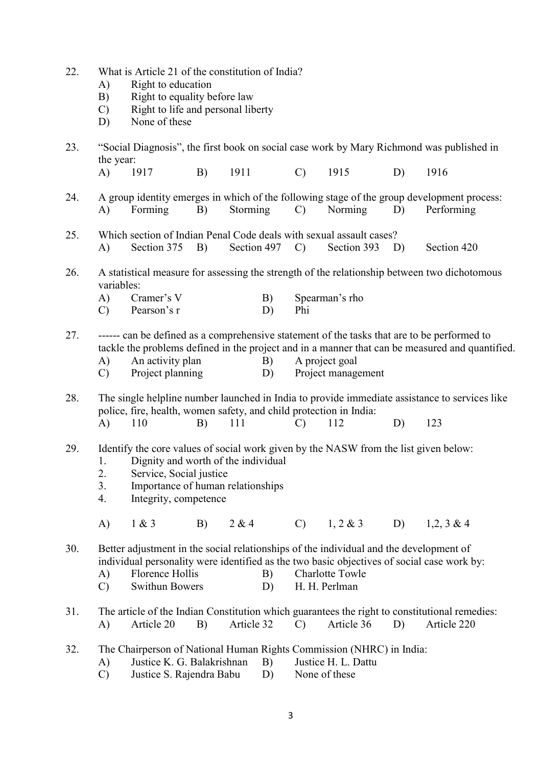| 22. | A)<br>B)<br>$\mathcal{C}$<br>D) | What is Article 21 of the constitution of India?<br>Right to education<br>Right to equality before law<br>Right to life and personal liberty<br>None of these                                                                    |    |             |          |               |                                         |    |                                                                                                                                                                                                |
|-----|---------------------------------|----------------------------------------------------------------------------------------------------------------------------------------------------------------------------------------------------------------------------------|----|-------------|----------|---------------|-----------------------------------------|----|------------------------------------------------------------------------------------------------------------------------------------------------------------------------------------------------|
| 23. | the year:                       |                                                                                                                                                                                                                                  |    |             |          |               |                                         |    | "Social Diagnosis", the first book on social case work by Mary Richmond was published in                                                                                                       |
|     | A)                              | 1917                                                                                                                                                                                                                             | B) | 1911        |          | $\mathcal{C}$ | 1915                                    | D) | 1916                                                                                                                                                                                           |
| 24. | A)                              | Forming                                                                                                                                                                                                                          | B) | Storming    |          | $\mathbf{C}$  | Norming                                 | D) | A group identity emerges in which of the following stage of the group development process:<br>Performing                                                                                       |
| 25. | A)                              | Which section of Indian Penal Code deals with sexual assault cases?<br>Section 375                                                                                                                                               | B) | Section 497 |          | $\mathcal{C}$ | Section 393                             | D) | Section 420                                                                                                                                                                                    |
| 26. | variables:                      |                                                                                                                                                                                                                                  |    |             |          |               |                                         |    | A statistical measure for assessing the strength of the relationship between two dichotomous                                                                                                   |
|     | A)<br>$\mathcal{C}$             | Cramer's V<br>Pearson's r                                                                                                                                                                                                        |    |             | B)<br>D) | Phi           | Spearman's rho                          |    |                                                                                                                                                                                                |
| 27. | A)<br>$\mathcal{C}$             | An activity plan<br>Project planning                                                                                                                                                                                             |    |             | B)<br>D) |               | A project goal<br>Project management    |    | ------ can be defined as a comprehensive statement of the tasks that are to be performed to<br>tackle the problems defined in the project and in a manner that can be measured and quantified. |
| 28. |                                 | police, fire, health, women safety, and child protection in India:                                                                                                                                                               |    |             |          |               |                                         |    | The single helpline number launched in India to provide immediate assistance to services like                                                                                                  |
|     | A)                              | 110                                                                                                                                                                                                                              | B) | 111         |          | $\mathcal{C}$ | 112                                     | D) | 123                                                                                                                                                                                            |
| 29. | 1.<br>2.<br>3.<br>4.            | Identify the core values of social work given by the NASW from the list given below:<br>Dignity and worth of the individual<br>Service, Social justice<br>Importance of human relationships<br>Integrity, competence             |    |             |          |               |                                         |    |                                                                                                                                                                                                |
|     | A)                              | 1 & 3                                                                                                                                                                                                                            | B) | 2 & 4       |          | $\mathcal{C}$ | $1, 2 \& 3$                             | D) | $1,2,3 \& 4$                                                                                                                                                                                   |
| 30. | A)<br>$\mathcal{C}$             | Better adjustment in the social relationships of the individual and the development of<br>individual personality were identified as the two basic objectives of social case work by:<br>Florence Hollis<br><b>Swithun Bowers</b> |    |             | B)<br>D) |               | <b>Charlotte Towle</b><br>H. H. Perlman |    |                                                                                                                                                                                                |
| 31. | A)                              | Article 20                                                                                                                                                                                                                       | B) | Article 32  |          | $\mathcal{C}$ | Article 36                              | D) | The article of the Indian Constitution which guarantees the right to constitutional remedies:<br>Article 220                                                                                   |
| 32. | A)<br>$\mathcal{C}$             | The Chairperson of National Human Rights Commission (NHRC) in India:<br>Justice K. G. Balakrishnan<br>Justice S. Rajendra Babu                                                                                                   |    |             | B)<br>D) | None of these | Justice H. L. Dattu                     |    |                                                                                                                                                                                                |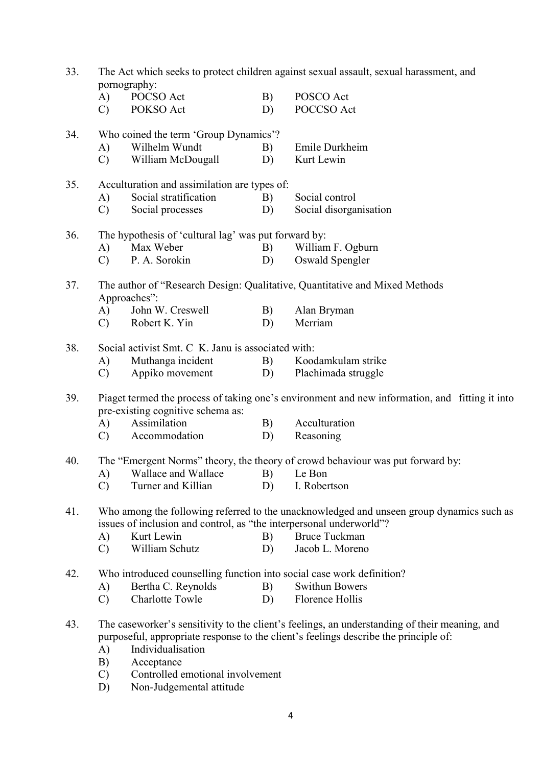| 33. | pornography:  | The Act which seeks to protect children against sexual assault, sexual harassment, and |    |                                                                                                                                                                                       |
|-----|---------------|----------------------------------------------------------------------------------------|----|---------------------------------------------------------------------------------------------------------------------------------------------------------------------------------------|
|     | A)            | POCSO Act                                                                              | B) | POSCO Act                                                                                                                                                                             |
|     | $\mathcal{C}$ | POKSO Act                                                                              | D) | POCCSO Act                                                                                                                                                                            |
| 34. |               | Who coined the term 'Group Dynamics'?                                                  |    |                                                                                                                                                                                       |
|     | A)            | Wilhelm Wundt                                                                          | B) | Emile Durkheim                                                                                                                                                                        |
|     | $\mathcal{C}$ | William McDougall                                                                      | D) | Kurt Lewin                                                                                                                                                                            |
| 35. | A)            | Acculturation and assimilation are types of:<br>Social stratification                  | B) | Social control                                                                                                                                                                        |
|     | $\mathcal{C}$ | Social processes                                                                       | D) | Social disorganisation                                                                                                                                                                |
| 36. |               | The hypothesis of 'cultural lag' was put forward by:                                   |    |                                                                                                                                                                                       |
|     | A)            | Max Weber                                                                              | B) | William F. Ogburn                                                                                                                                                                     |
|     | $\mathcal{C}$ | P. A. Sorokin                                                                          | D) | Oswald Spengler                                                                                                                                                                       |
| 37. |               | Approaches":                                                                           |    | The author of "Research Design: Qualitative, Quantitative and Mixed Methods                                                                                                           |
|     | A)            | John W. Creswell                                                                       | B) | Alan Bryman                                                                                                                                                                           |
|     | $\mathbf{C}$  | Robert K. Yin                                                                          | D) | Merriam                                                                                                                                                                               |
| 38. |               | Social activist Smt. C K. Janu is associated with:                                     |    |                                                                                                                                                                                       |
|     | A)            | Muthanga incident                                                                      | B) | Koodamkulam strike                                                                                                                                                                    |
|     | $\mathcal{C}$ | Appiko movement                                                                        | D) | Plachimada struggle                                                                                                                                                                   |
| 39. |               | pre-existing cognitive schema as:                                                      |    | Piaget termed the process of taking one's environment and new information, and fitting it into                                                                                        |
|     | A)            | Assimilation                                                                           | B) | Acculturation                                                                                                                                                                         |
|     | $\mathbf{C}$  | Accommodation                                                                          | D) | Reasoning                                                                                                                                                                             |
| 40. |               |                                                                                        |    | The "Emergent Norms" theory, the theory of crowd behaviour was put forward by:                                                                                                        |
|     |               | A) Wallace and Wallace B) Le Bon                                                       |    |                                                                                                                                                                                       |
|     | $\mathcal{C}$ | Turner and Killian                                                                     | D) | I. Robertson                                                                                                                                                                          |
| 41. |               | issues of inclusion and control, as "the interpersonal underworld"?                    |    | Who among the following referred to the unacknowledged and unseen group dynamics such as                                                                                              |
|     | A)            | Kurt Lewin                                                                             | B) | <b>Bruce Tuckman</b>                                                                                                                                                                  |
|     | $\mathcal{C}$ | William Schutz                                                                         | D) | Jacob L. Moreno                                                                                                                                                                       |
| 42. |               | Who introduced counselling function into social case work definition?                  |    |                                                                                                                                                                                       |
|     | A)            | Bertha C. Reynolds                                                                     | B) | <b>Swithun Bowers</b>                                                                                                                                                                 |
|     | $\mathcal{C}$ | <b>Charlotte Towle</b>                                                                 | D) | Florence Hollis                                                                                                                                                                       |
| 43. |               |                                                                                        |    | The caseworker's sensitivity to the client's feelings, an understanding of their meaning, and<br>purposeful, appropriate response to the client's feelings describe the principle of: |
|     | A)            | Individualisation                                                                      |    |                                                                                                                                                                                       |
|     | B)            | Acceptance                                                                             |    |                                                                                                                                                                                       |
|     | $\mathcal{C}$ | Controlled emotional involvement                                                       |    |                                                                                                                                                                                       |
|     | D)            | Non-Judgemental attitude                                                               |    |                                                                                                                                                                                       |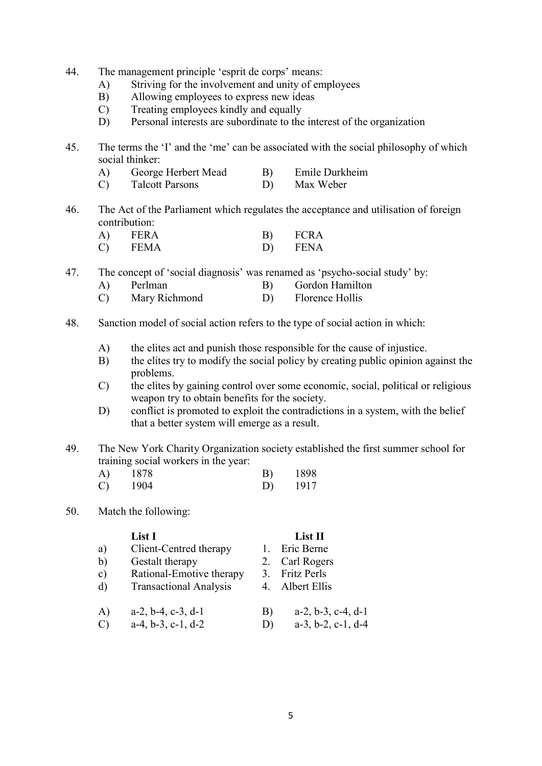- 44. The management principle 'esprit de corps' means:
	- A) Striving for the involvement and unity of employees
	- B) Allowing employees to express new ideas
	- C) Treating employees kindly and equally
	- D) Personal interests are subordinate to the interest of the organization
- 45. The terms the 'I' and the 'me' can be associated with the social philosophy of which social thinker:
	- A) George Herbert Mead B) Emile Durkheim
	- C) Talcott Parsons D) Max Weber
- 46. The Act of the Parliament which regulates the acceptance and utilisation of foreign contribution:

| <b>FERA</b> | <b>FCRA</b> |
|-------------|-------------|
| <b>FEMA</b> | FENA        |

47. The concept of 'social diagnosis' was renamed as 'psycho-social study' by:

- A) Perlman B) Gordon Hamilton
- C) Mary Richmond D) Florence Hollis
- 48. Sanction model of social action refers to the type of social action in which:
	- A) the elites act and punish those responsible for the cause of injustice.
	- B) the elites try to modify the social policy by creating public opinion against the problems.
	- C) the elites by gaining control over some economic, social, political or religious weapon try to obtain benefits for the society.
	- D) conflict is promoted to exploit the contradictions in a system, with the belief that a better system will emerge as a result.
- 49. The New York Charity Organization society established the first summer school for training social workers in the year:

| A) | 1878 | B) | 1898 |
|----|------|----|------|
|    | 1904 | D) | 1917 |

#### 50. Match the following:

|                                                      | List I                        |              | $List$ II                     |
|------------------------------------------------------|-------------------------------|--------------|-------------------------------|
| a)                                                   | Client-Centred therapy        |              | Eric Berne                    |
| b)                                                   | Gestalt therapy               |              | 2. Carl Rogers                |
| $\mathbf{c})$                                        | Rational-Emotive therapy      | 3.           | <b>Fritz Perls</b>            |
| d)                                                   | <b>Transactional Analysis</b> |              | Albert Ellis                  |
| A)                                                   | $a-2, b-4, c-3, d-1$          | B)           | $a-2, b-3, c-4, d-1$          |
| $\left( \begin{array}{c} 1 \\ 1 \end{array} \right)$ | $a-4, b-3, c-1, d-2$          | $\mathbf{D}$ | $a-3$ , $b-2$ , $c-1$ , $d-4$ |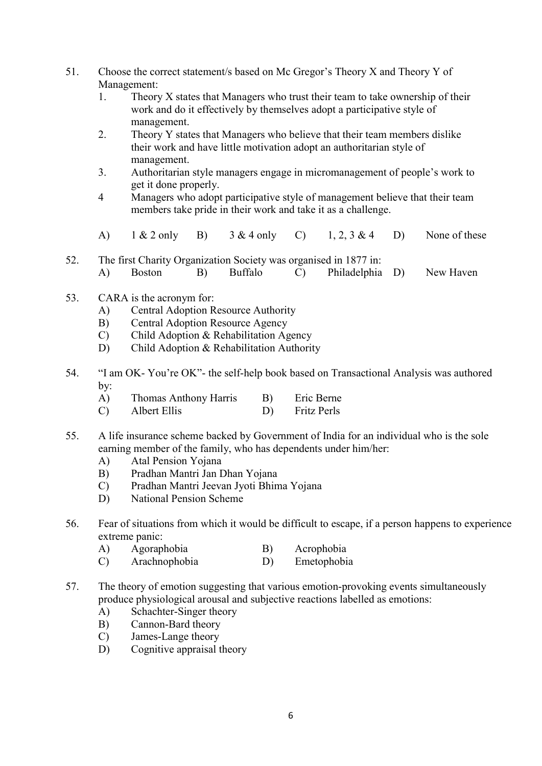- 51. Choose the correct statement/s based on Mc Gregor's Theory X and Theory Y of Management:
	- 1. Theory X states that Managers who trust their team to take ownership of their work and do it effectively by themselves adopt a participative style of management.
	- 2. Theory Y states that Managers who believe that their team members dislike their work and have little motivation adopt an authoritarian style of management.
	- 3. Authoritarian style managers engage in micromanagement of people's work to get it done properly.
	- 4 Managers who adopt participative style of management believe that their team members take pride in their work and take it as a challenge.
	- A)  $1 \& 2 \text{ only } B$   $3 \& 4 \text{ only } C$   $1, 2, 3 \& 4$  D) None of these
- 52. The first Charity Organization Society was organised in 1877 in: A) Boston B) Buffalo C) Philadelphia D) New Haven
- 53. CARA is the acronym for:
	- A) Central Adoption Resource Authority
	- B) Central Adoption Resource Agency
	- C) Child Adoption & Rehabilitation Agency
	- D) Child Adoption & Rehabilitation Authority
- 54. "I am OK- You're OK"- the self-help book based on Transactional Analysis was authored by:
	- A) Thomas Anthony Harris B) Eric Berne
	- C) Albert Ellis D) Fritz Perls
- 55. A life insurance scheme backed by Government of India for an individual who is the sole earning member of the family, who has dependents under him/her:
	- A) Atal Pension Yojana
	- B) Pradhan Mantri Jan Dhan Yojana
	- C) Pradhan Mantri Jeevan Jyoti Bhima Yojana
	- D) National Pension Scheme
- 56. Fear of situations from which it would be difficult to escape, if a person happens to experience extreme panic:
	- A) Agoraphobia B) Acrophobia
	- C) Arachnophobia D) Emetophobia
- 57. The theory of emotion suggesting that various emotion-provoking events simultaneously produce physiological arousal and subjective reactions labelled as emotions:
	- A) Schachter-Singer theory
	- B) Cannon-Bard theory
	- C) James-Lange theory
	- D) Cognitive appraisal theory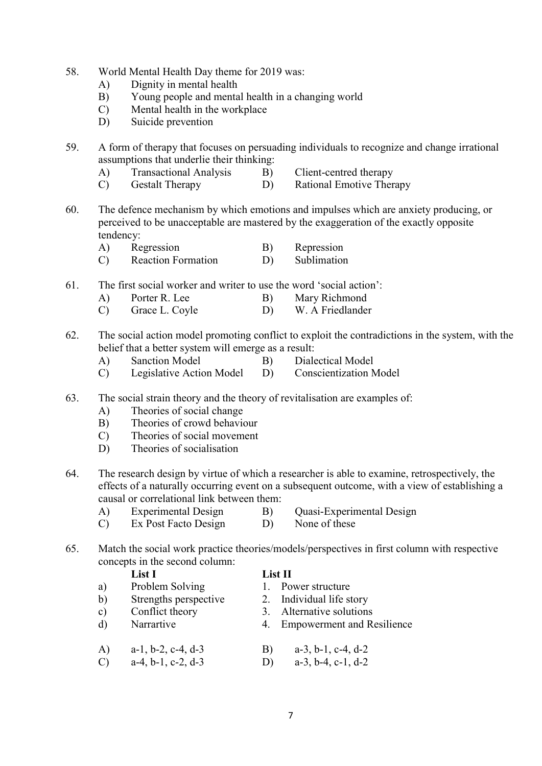- 58. World Mental Health Day theme for 2019 was:
	- A) Dignity in mental health
	- B) Young people and mental health in a changing world
	- C) Mental health in the workplace
	- D) Suicide prevention

59. A form of therapy that focuses on persuading individuals to recognize and change irrational assumptions that underlie their thinking:

- A) Transactional Analysis B) Client-centred therapy
- C) Gestalt Therapy D) Rational Emotive Therapy
- 60. The defence mechanism by which emotions and impulses which are anxiety producing, or perceived to be unacceptable are mastered by the exaggeration of the exactly opposite tendency:
	- A) Regression B) Repression
	- C) Reaction Formation D) Sublimation
- 61. The first social worker and writer to use the word 'social action':
	- A) Porter R. Lee B) Mary Richmond
	- C) Grace L. Coyle D) W. A Friedlander
- 62. The social action model promoting conflict to exploit the contradictions in the system, with the belief that a better system will emerge as a result:
	- A) Sanction Model B) Dialectical Model
	- C) Legislative Action Model D) Conscientization Model
- 63. The social strain theory and the theory of revitalisation are examples of:
	- A) Theories of social change
	- B) Theories of crowd behaviour
	- C) Theories of social movement
	- D) Theories of socialisation
- 64. The research design by virtue of which a researcher is able to examine, retrospectively, the effects of a naturally occurring event on a subsequent outcome, with a view of establishing a causal or correlational link between them:
	- -
	- A) Experimental Design B) Quasi-Experimental Design
	- C) Ex Post Facto Design D) None of these
- 
- 65. Match the social work practice theories/models/perspectives in first column with respective concepts in the second column:

# List I list II

- a) Problem Solving 1. Power structure
- b) Strengths perspective 2. Individual life story
- c) Conflict theory 3. Alternative solutions
- d) Narrartive 4. Empowerment and Resilience
- A) a-1, b-2, c-4, d-3 B) a-3, b-1, c-4, d-2 C) a-4, b-1, c-2, d-3 D) a-3, b-4, c-1, d-2
	-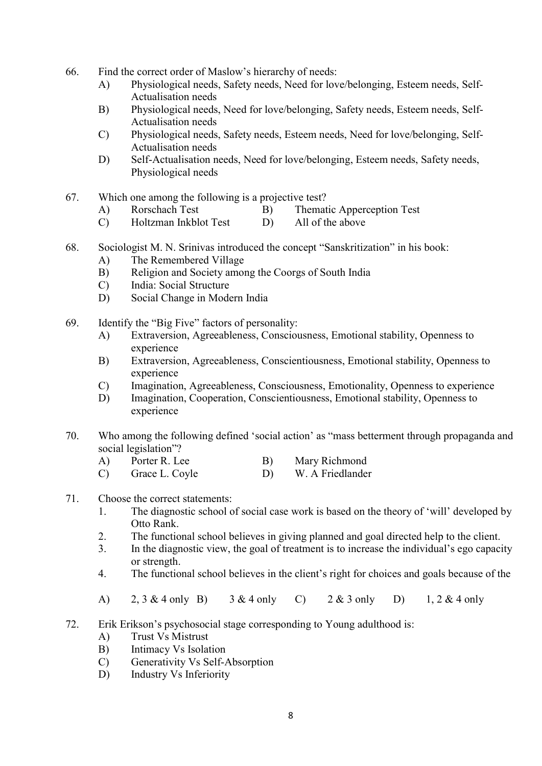- 66. Find the correct order of Maslow's hierarchy of needs:
	- A) Physiological needs, Safety needs, Need for love/belonging, Esteem needs, Self- Actualisation needs
	- B) Physiological needs, Need for love/belonging, Safety needs, Esteem needs, Self- Actualisation needs
	- C) Physiological needs, Safety needs, Esteem needs, Need for love/belonging, Self- Actualisation needs
	- D) Self-Actualisation needs, Need for love/belonging, Esteem needs, Safety needs, Physiological needs
- 67. Which one among the following is a projective test?
	- A) Rorschach Test B) Thematic Apperception Test
	- C) Holtzman Inkblot Test D) All of the above
- 68. Sociologist M. N. Srinivas introduced the concept "Sanskritization" in his book:
	- A) The Remembered Village
	- B) Religion and Society among the Coorgs of South India
	- C) India: Social Structure
	- D) Social Change in Modern India
- 69. Identify the "Big Five" factors of personality:
	- A) Extraversion, Agreeableness, Consciousness, Emotional stability, Openness to experience
	- B) Extraversion, Agreeableness, Conscientiousness, Emotional stability, Openness to experience
	- C) Imagination, Agreeableness, Consciousness, Emotionality, Openness to experience
	- D) Imagination, Cooperation, Conscientiousness, Emotional stability, Openness to experience
- 70. Who among the following defined 'social action' as "mass betterment through propaganda and social legislation"?
	- A) Porter R. Lee B) Mary Richmond
	- C) Grace L. Coyle D) W. A Friedlander

## 71. Choose the correct statements:

- 1. The diagnostic school of social case work is based on the theory of 'will' developed by Otto Rank.
- 2. The functional school believes in giving planned and goal directed help to the client.
- 3. In the diagnostic view, the goal of treatment is to increase the individual's ego capacity or strength.
- 4. The functional school believes in the client's right for choices and goals because of the
- A) 2, 3 & 4 only B) 3 & 4 only C) 2 & 3 only D) 1, 2 & 4 only
- 72. Erik Erikson's psychosocial stage corresponding to Young adulthood is:
	- A) Trust Vs Mistrust
	- B) Intimacy Vs Isolation
	- C) Generativity Vs Self-Absorption
	- D) Industry Vs Inferiority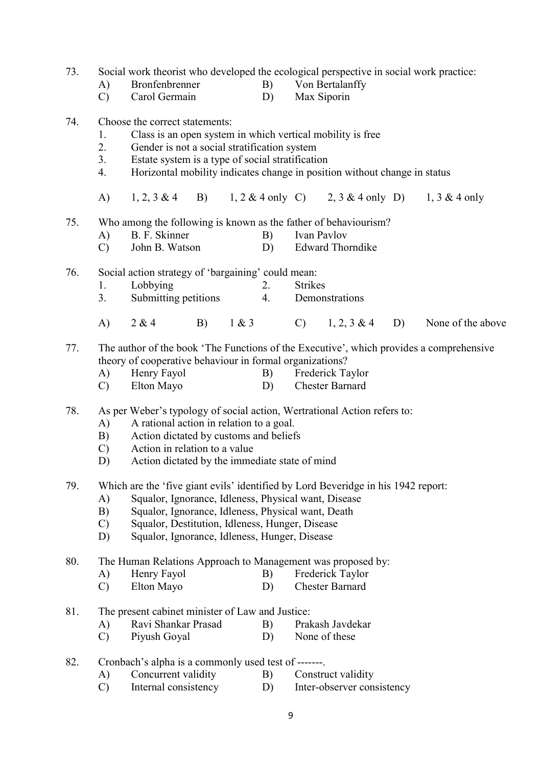- 73. Social work theorist who developed the ecological perspective in social work practice:
	-
- A) Bronfenbrenner B) Von Bertalanffy
	- C) Carol Germain D) Max Siporin

### 74. Choose the correct statements:

- 1. Class is an open system in which vertical mobility is free
- 2. Gender is not a social stratification system
- 3. Estate system is a type of social stratification
- 4. Horizontal mobility indicates change in position without change in status
- A) 1, 2, 3 & 4 B) 1, 2 & 4 only C) 2, 3 & 4 only D) 1, 3 & 4 only
- 75. Who among the following is known as the father of behaviourism?
	- A) B. F. Skinner B) Ivan Pavlov
	- C) John B. Watson D) Edward Thorndike

76. Social action strategy of 'bargaining' could mean:

- 1. Lobbying 2. Strikes
- 3. Submitting petitions 4. Demonstrations
- A) 2 & 4 B) 1 & 3 C) 1, 2, 3 & 4 D) None of the above

77. The author of the book 'The Functions of the Executive', which provides a comprehensive

- theory of cooperative behaviour in formal organizations?<br>
A) Henry Fayol B) Frederick Ta A) Henry Fayol B) Frederick Taylor C) Elton Mayo D) Chester Barnard
- 78. As per Weber's typology of social action, Wertrational Action refers to:
	- A) A rational action in relation to a goal.
	- B) Action dictated by customs and beliefs
	- C) Action in relation to a value
	- D) Action dictated by the immediate state of mind

79. Which are the 'five giant evils' identified by Lord Beveridge in his 1942 report:

- A) Squalor, Ignorance, Idleness, Physical want, Disease
- B) Squalor, Ignorance, Idleness, Physical want, Death
- C) Squalor, Destitution, Idleness, Hunger, Disease
- D) Squalor, Ignorance, Idleness, Hunger, Disease

80. The Human Relations Approach to Management was proposed by:

- A) Henry Fayol B) Frederick Taylor
- C) Elton Mayo D) Chester Barnard
- 81. The present cabinet minister of Law and Justice:
	- A) Ravi Shankar Prasad B) Prakash Javdekar
	- C) Piyush Goyal D) None of these
- 82. Cronbach's alpha is a commonly used test of -------.
	- A) Concurrent validity B) Construct validity
	- C) Internal consistency D) Inter-observer consistency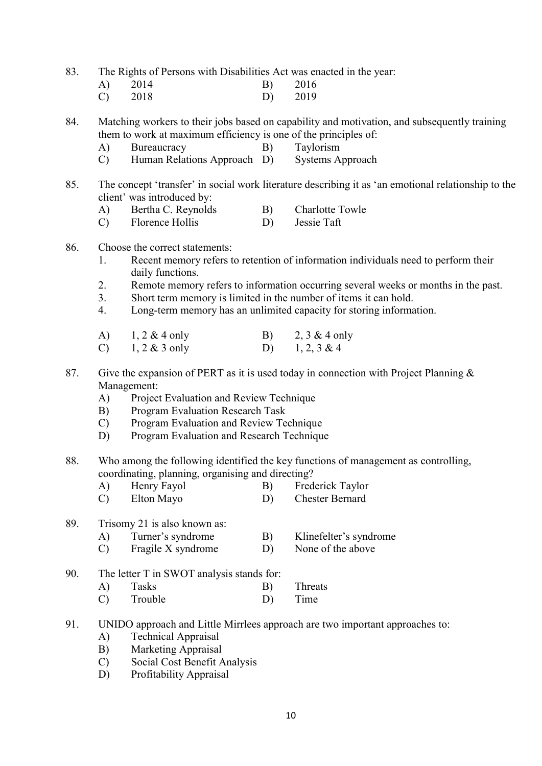83. The Rights of Persons with Disabilities Act was enacted in the year:

| A) | 2014      | B) 2016 |
|----|-----------|---------|
|    | $C)$ 2018 | D) 2019 |

84. Matching workers to their jobs based on capability and motivation, and subsequently training them to work at maximum efficiency is one of the principles of:

- A) Bureaucracy B) Taylorism
- C) Human Relations Approach D) Systems Approach
- 85. The concept 'transfer' in social work literature describing it as 'an emotional relationship to the client' was introduced by:
	- A) Bertha C. Reynolds B) Charlotte Towle
	- C) Florence Hollis D) Jessie Taft

# 86. Choose the correct statements:

- 1. Recent memory refers to retention of information individuals need to perform their daily functions.
- 2. Remote memory refers to information occurring several weeks or months in the past.
- 3. Short term memory is limited in the number of items it can hold.
- 4. Long-term memory has an unlimited capacity for storing information.

| A) $1, 2 \& 4$ only | B) $2, 3 \& 4$ only |
|---------------------|---------------------|
| C) 1, 2 & 3 only    | D) $1, 2, 3 \& 4$   |

- 87. Give the expansion of PERT as it is used today in connection with Project Planning  $\&$  Management:
	- A) Project Evaluation and Review Technique
	- B) Program Evaluation Research Task
	- C) Program Evaluation and Review Technique
	- D) Program Evaluation and Research Technique
- 88. Who among the following identified the key functions of management as controlling, coordinating, planning, organising and directing?

| Henry Fayol |  | Frederick Taylor |
|-------------|--|------------------|
| Elton Mayo  |  | Chester Bernard  |

89. Trisomy 21 is also known as:

- A) Turner's syndrome B) Klinefelter's syndrome
- C) Fragile X syndrome D) None of the above
- 90. The letter T in SWOT analysis stands for:

| $ A\rangle$ | Tasks   | $\vert B \rangle$ | Threats |
|-------------|---------|-------------------|---------|
|             | Trouble |                   | Time    |

- 91. UNIDO approach and Little Mirrlees approach are two important approaches to:
	- A) Technical Appraisal
	- B) Marketing Appraisal
	- C) Social Cost Benefit Analysis
	- D) Profitability Appraisal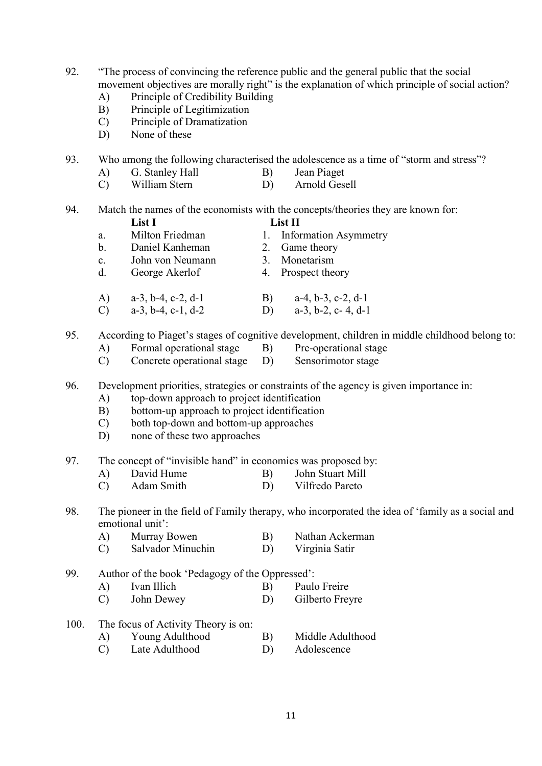92. "The process of convincing the reference public and the general public that the social movement objectives are morally right" is the explanation of which principle of social action?

- A) Principle of Credibility Building
- B) Principle of Legitimization
- C) Principle of Dramatization
- D) None of these

93. Who among the following characterised the adolescence as a time of "storm and stress"?

- A) G. Stanley Hall B) Jean Piaget
- C) William Stern D) Arnold Gesell

94. Match the names of the economists with the concepts/theories they are known for:

- List I List II a. Milton Friedman 1. Information Asymmetry b. Daniel Kanheman 2. Game theory c. John von Neumann 3. Monetarism
- d. George Akerlof 4. Prospect theory
- A) a-3, b-4, c-2, d-1 B) a-4, b-3, c-2, d-1 C) a-3, b-4, c-1, d-2 D) a-3, b-2, c- 4, d-1

95. According to Piaget's stages of cognitive development, children in middle childhood belong to:<br>A) Formal operational stage B) Pre-operational stage

- $(A)$  Formal operational stage B)
- C) Concrete operational stage D) Sensorimotor stage

96. Development priorities, strategies or constraints of the agency is given importance in:

- A) top-down approach to project identification
- B) bottom-up approach to project identification
- C) both top-down and bottom-up approaches
- D) none of these two approaches
- 97. The concept of "invisible hand" in economics was proposed by:
	- A) David Hume B) John Stuart Mill
	- C) Adam Smith D) Vilfredo Pareto
- 98. The pioneer in the field of Family therapy, who incorporated the idea of 'family as a social and emotional unit':
	- A) Murray Bowen B) Nathan Ackerman
	- C) Salvador Minuchin D) Virginia Satir
- 99. Author of the book 'Pedagogy of the Oppressed':
	- A) Ivan Illich B) Paulo Freire
	- C) John Dewey D) Gilberto Freyre
- 100. The focus of Activity Theory is on:
	- A) Young Adulthood B) Middle Adulthood
	- C) Late Adulthood D) Adolescence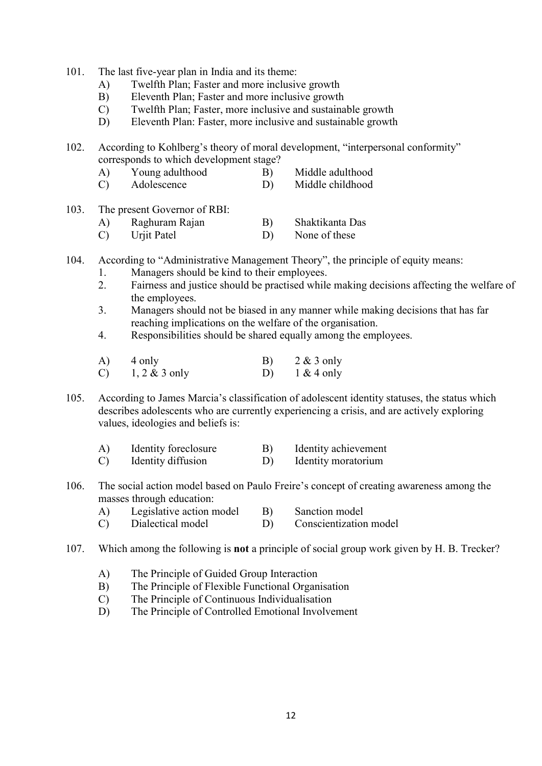- 101. The last five-year plan in India and its theme:
	- A) Twelfth Plan; Faster and more inclusive growth
	- B) Eleventh Plan; Faster and more inclusive growth
	- C) Twelfth Plan; Faster, more inclusive and sustainable growth
	- D) Eleventh Plan: Faster, more inclusive and sustainable growth

102. According to Kohlberg's theory of moral development, "interpersonal conformity" corresponds to which development stage?

- A) Young adulthood B) Middle adulthood
- C) Adolescence D) Middle childhood
- 103. The present Governor of RBI:
	- A) Raghuram Rajan B) Shaktikanta Das
	- C) Urjit Patel D) None of these
- 104. According to "Administrative Management Theory", the principle of equity means:
	- 1. Managers should be kind to their employees.
	- 2. Fairness and justice should be practised while making decisions affecting the welfare of the employees.
	- 3. Managers should not be biased in any manner while making decisions that has far reaching implications on the welfare of the organisation.
	- 4. Responsibilities should be shared equally among the employees.

| A) 4 only        | B) $2 \& 3$ only |
|------------------|------------------|
| C) 1, 2 & 3 only | D) $1 & 4$ only  |

105. According to James Marcia's classification of adolescent identity statuses, the status which describes adolescents who are currently experiencing a crisis, and are actively exploring values, ideologies and beliefs is:

- A) Identity foreclosure B) Identity achievement
- C) Identity diffusion D) Identity moratorium
- 106. The social action model based on Paulo Freire's concept of creating awareness among the masses through education:
	- A) Legislative action model B) Sanction model
	- C) Dialectical model D) Conscientization model
- 107. Which among the following is not a principle of social group work given by H. B. Trecker?
	- A) The Principle of Guided Group Interaction
	- B) The Principle of Flexible Functional Organisation
	- C) The Principle of Continuous Individualisation
	- D) The Principle of Controlled Emotional Involvement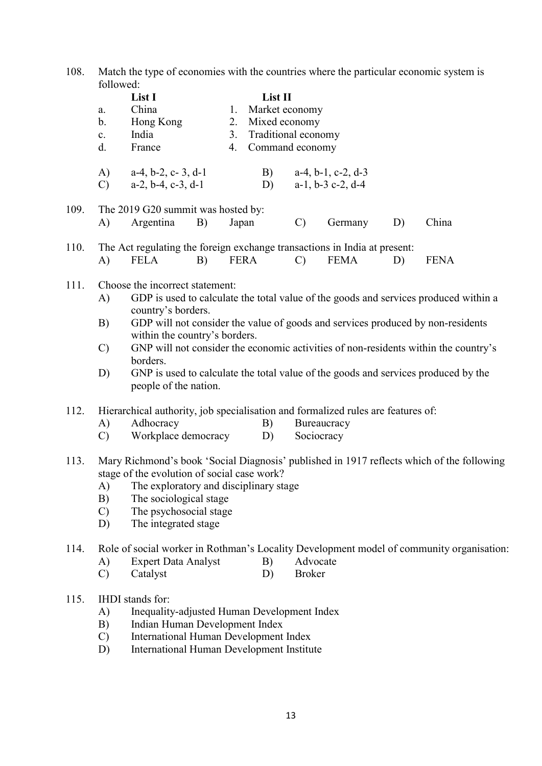108. Match the type of economies with the countries where the particular economic system is followed:

|      | a.<br>b.<br>$\mathbf{c}.$<br>d.                                                                                                                                                                                                                                                                   | List I<br>China<br>Hong Kong<br>India<br>France                                                                                                                                                                                                                                                                                                                                                                                                                                     |    | 1.<br>2.<br>3.<br>4. | List II<br>Market economy<br>Mixed economy<br>Traditional economy<br>Command economy |                                                                                                                       |                                                           |    |             |  |
|------|---------------------------------------------------------------------------------------------------------------------------------------------------------------------------------------------------------------------------------------------------------------------------------------------------|-------------------------------------------------------------------------------------------------------------------------------------------------------------------------------------------------------------------------------------------------------------------------------------------------------------------------------------------------------------------------------------------------------------------------------------------------------------------------------------|----|----------------------|--------------------------------------------------------------------------------------|-----------------------------------------------------------------------------------------------------------------------|-----------------------------------------------------------|----|-------------|--|
|      | A)<br>$\mathcal{C}$                                                                                                                                                                                                                                                                               | $a-4$ , $b-2$ , $c-3$ , $d-1$<br>$a-2, b-4, c-3, d-1$                                                                                                                                                                                                                                                                                                                                                                                                                               |    |                      | B)<br>D)                                                                             |                                                                                                                       | $a-4$ , $b-1$ , $c-2$ , $d-3$<br>$a-1$ , $b-3$ c-2, $d-4$ |    |             |  |
| 109. | A)                                                                                                                                                                                                                                                                                                | The 2019 G20 summit was hosted by:<br>Argentina                                                                                                                                                                                                                                                                                                                                                                                                                                     | B) | Japan                |                                                                                      | $\mathcal{C}$                                                                                                         | Germany                                                   | D) | China       |  |
| 110. | A)                                                                                                                                                                                                                                                                                                | The Act regulating the foreign exchange transactions in India at present:<br><b>FELA</b>                                                                                                                                                                                                                                                                                                                                                                                            | B) | FERA                 |                                                                                      | $\mathcal{C}$                                                                                                         | <b>FEMA</b>                                               | D) | <b>FENA</b> |  |
| 111. | A)<br>B)<br>$\mathcal{C}$<br>D)                                                                                                                                                                                                                                                                   | Choose the incorrect statement:<br>GDP is used to calculate the total value of the goods and services produced within a<br>country's borders.<br>GDP will not consider the value of goods and services produced by non-residents<br>within the country's borders.<br>GNP will not consider the economic activities of non-residents within the country's<br>borders.<br>GNP is used to calculate the total value of the goods and services produced by the<br>people of the nation. |    |                      |                                                                                      |                                                                                                                       |                                                           |    |             |  |
| 112. | A)<br>$\mathcal{C}$                                                                                                                                                                                                                                                                               | Hierarchical authority, job specialisation and formalized rules are features of:<br>Adhocracy<br>B)<br>Workplace democracy<br>D)                                                                                                                                                                                                                                                                                                                                                    |    |                      |                                                                                      | Bureaucracy<br>Sociocracy                                                                                             |                                                           |    |             |  |
| 113. | Mary Richmond's book 'Social Diagnosis' published in 1917 reflects which of the following<br>stage of the evolution of social case work?<br>The exploratory and disciplinary stage<br>A)<br>B)<br>The sociological stage<br>The psychosocial stage<br>$\mathcal{C}$<br>The integrated stage<br>D) |                                                                                                                                                                                                                                                                                                                                                                                                                                                                                     |    |                      |                                                                                      |                                                                                                                       |                                                           |    |             |  |
| 114. | A)<br>$\mathcal{C}$                                                                                                                                                                                                                                                                               | <b>Expert Data Analyst</b><br>B)<br>Catalyst<br>D)                                                                                                                                                                                                                                                                                                                                                                                                                                  |    |                      |                                                                                      | Role of social worker in Rothman's Locality Development model of community organisation:<br>Advocate<br><b>Broker</b> |                                                           |    |             |  |
| 115. | A)<br>B)<br>$\mathcal{C}$<br>D)                                                                                                                                                                                                                                                                   | IHDI stands for:<br>Inequality-adjusted Human Development Index<br>Indian Human Development Index<br>International Human Development Index<br>International Human Development Institute                                                                                                                                                                                                                                                                                             |    |                      |                                                                                      |                                                                                                                       |                                                           |    |             |  |